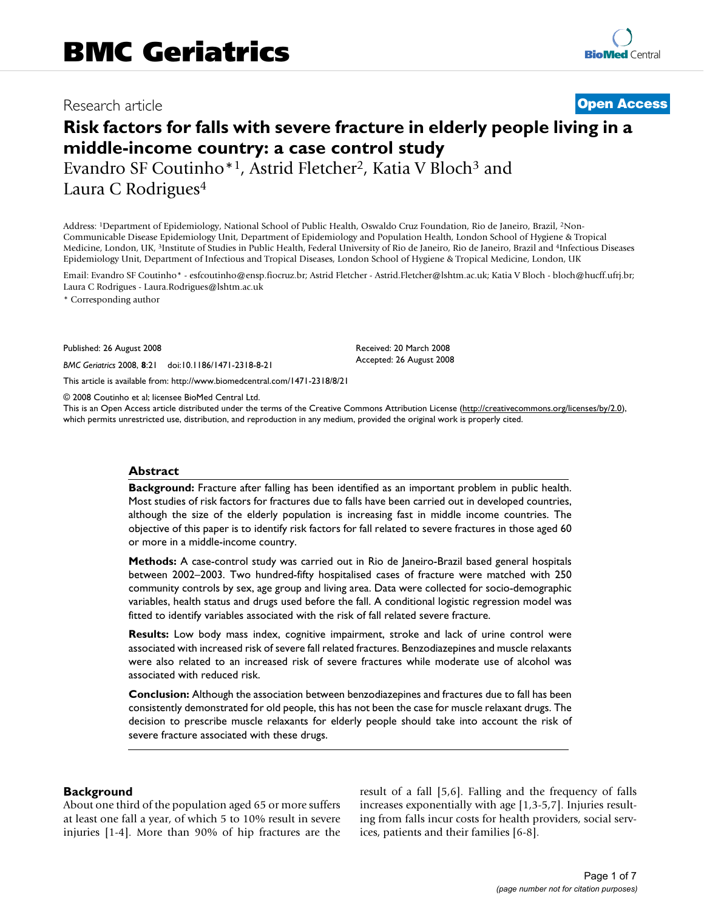# Research article **[Open Access](http://www.biomedcentral.com/info/about/charter/)**

# **Risk factors for falls with severe fracture in elderly people living in a middle-income country: a case control study**

Evandro SF Coutinho<sup>\*1</sup>, Astrid Fletcher<sup>2</sup>, Katia V Bloch<sup>3</sup> and Laura C Rodrigues<sup>4</sup>

Address: 1Department of Epidemiology, National School of Public Health, Oswaldo Cruz Foundation, Rio de Janeiro, Brazil, 2Non-Communicable Disease Epidemiology Unit, Department of Epidemiology and Population Health, London School of Hygiene & Tropical Medicine, London, UK, 3Institute of Studies in Public Health, Federal University of Rio de Janeiro, Rio de Janeiro, Brazil and 4Infectious Diseases Epidemiology Unit, Department of Infectious and Tropical Diseases, London School of Hygiene & Tropical Medicine, London, UK

Email: Evandro SF Coutinho\* - esfcoutinho@ensp.fiocruz.br; Astrid Fletcher - Astrid.Fletcher@lshtm.ac.uk; Katia V Bloch - bloch@hucff.ufrj.br; Laura C Rodrigues - Laura.Rodrigues@lshtm.ac.uk

> Received: 20 March 2008 Accepted: 26 August 2008

\* Corresponding author

Published: 26 August 2008

*BMC Geriatrics* 2008, **8**:21 doi:10.1186/1471-2318-8-21

[This article is available from: http://www.biomedcentral.com/1471-2318/8/21](http://www.biomedcentral.com/1471-2318/8/21)

© 2008 Coutinho et al; licensee BioMed Central Ltd.

This is an Open Access article distributed under the terms of the Creative Commons Attribution License [\(http://creativecommons.org/licenses/by/2.0\)](http://creativecommons.org/licenses/by/2.0), which permits unrestricted use, distribution, and reproduction in any medium, provided the original work is properly cited.

#### **Abstract**

**Background:** Fracture after falling has been identified as an important problem in public health. Most studies of risk factors for fractures due to falls have been carried out in developed countries, although the size of the elderly population is increasing fast in middle income countries. The objective of this paper is to identify risk factors for fall related to severe fractures in those aged 60 or more in a middle-income country.

**Methods:** A case-control study was carried out in Rio de Janeiro-Brazil based general hospitals between 2002–2003. Two hundred-fifty hospitalised cases of fracture were matched with 250 community controls by sex, age group and living area. Data were collected for socio-demographic variables, health status and drugs used before the fall. A conditional logistic regression model was fitted to identify variables associated with the risk of fall related severe fracture.

**Results:** Low body mass index, cognitive impairment, stroke and lack of urine control were associated with increased risk of severe fall related fractures. Benzodiazepines and muscle relaxants were also related to an increased risk of severe fractures while moderate use of alcohol was associated with reduced risk.

**Conclusion:** Although the association between benzodiazepines and fractures due to fall has been consistently demonstrated for old people, this has not been the case for muscle relaxant drugs. The decision to prescribe muscle relaxants for elderly people should take into account the risk of severe fracture associated with these drugs.

#### **Background**

About one third of the population aged 65 or more suffers at least one fall a year, of which 5 to 10% result in severe injuries [1-4]. More than 90% of hip fractures are the result of a fall [5,6]. Falling and the frequency of falls increases exponentially with age [1,3-5,7]. Injuries resulting from falls incur costs for health providers, social services, patients and their families [6-8].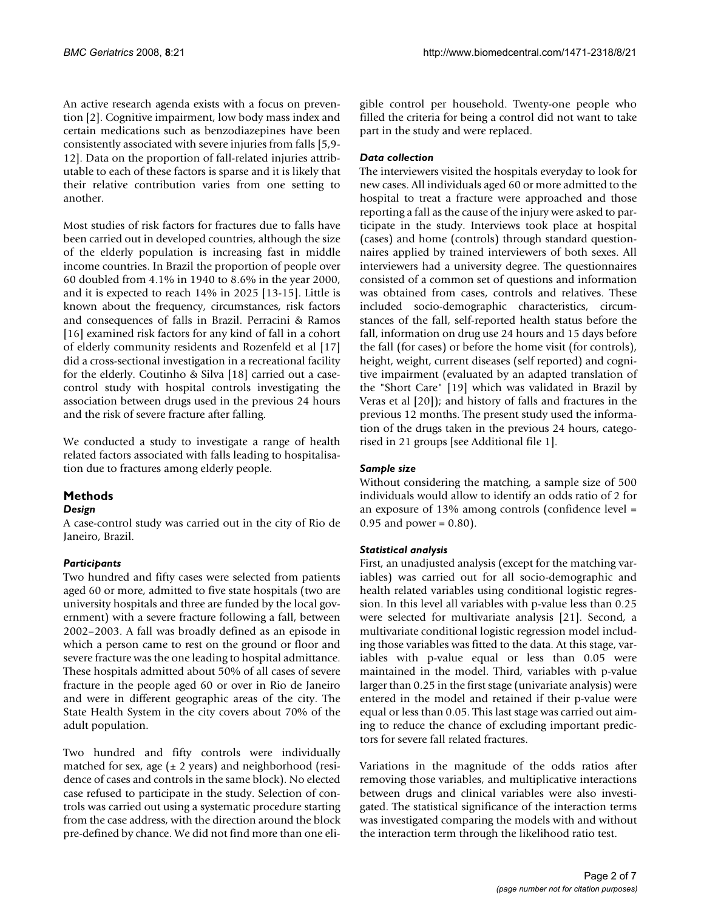An active research agenda exists with a focus on prevention [2]. Cognitive impairment, low body mass index and certain medications such as benzodiazepines have been consistently associated with severe injuries from falls [5,9- 12]. Data on the proportion of fall-related injuries attributable to each of these factors is sparse and it is likely that their relative contribution varies from one setting to another.

Most studies of risk factors for fractures due to falls have been carried out in developed countries, although the size of the elderly population is increasing fast in middle income countries. In Brazil the proportion of people over 60 doubled from 4.1% in 1940 to 8.6% in the year 2000, and it is expected to reach 14% in 2025 [13-15]. Little is known about the frequency, circumstances, risk factors and consequences of falls in Brazil. Perracini & Ramos [16] examined risk factors for any kind of fall in a cohort of elderly community residents and Rozenfeld et al [17] did a cross-sectional investigation in a recreational facility for the elderly. Coutinho & Silva [18] carried out a casecontrol study with hospital controls investigating the association between drugs used in the previous 24 hours and the risk of severe fracture after falling.

We conducted a study to investigate a range of health related factors associated with falls leading to hospitalisation due to fractures among elderly people.

# **Methods**

#### *Design*

A case-control study was carried out in the city of Rio de Janeiro, Brazil.

# *Participants*

Two hundred and fifty cases were selected from patients aged 60 or more, admitted to five state hospitals (two are university hospitals and three are funded by the local government) with a severe fracture following a fall, between 2002–2003. A fall was broadly defined as an episode in which a person came to rest on the ground or floor and severe fracture was the one leading to hospital admittance. These hospitals admitted about 50% of all cases of severe fracture in the people aged 60 or over in Rio de Janeiro and were in different geographic areas of the city. The State Health System in the city covers about 70% of the adult population.

Two hundred and fifty controls were individually matched for sex, age  $(\pm 2 \text{ years})$  and neighborhood (residence of cases and controls in the same block). No elected case refused to participate in the study. Selection of controls was carried out using a systematic procedure starting from the case address, with the direction around the block pre-defined by chance. We did not find more than one eligible control per household. Twenty-one people who filled the criteria for being a control did not want to take part in the study and were replaced.

### *Data collection*

The interviewers visited the hospitals everyday to look for new cases. All individuals aged 60 or more admitted to the hospital to treat a fracture were approached and those reporting a fall as the cause of the injury were asked to participate in the study. Interviews took place at hospital (cases) and home (controls) through standard questionnaires applied by trained interviewers of both sexes. All interviewers had a university degree. The questionnaires consisted of a common set of questions and information was obtained from cases, controls and relatives. These included socio-demographic characteristics, circumstances of the fall, self-reported health status before the fall, information on drug use 24 hours and 15 days before the fall (for cases) or before the home visit (for controls), height, weight, current diseases (self reported) and cognitive impairment (evaluated by an adapted translation of the "Short Care" [19] which was validated in Brazil by Veras et al [20]); and history of falls and fractures in the previous 12 months. The present study used the information of the drugs taken in the previous 24 hours, categorised in 21 groups [see Additional file 1].

# *Sample size*

Without considering the matching, a sample size of 500 individuals would allow to identify an odds ratio of 2 for an exposure of 13% among controls (confidence level = 0.95 and power = 0.80).

# *Statistical analysis*

First, an unadjusted analysis (except for the matching variables) was carried out for all socio-demographic and health related variables using conditional logistic regression. In this level all variables with p-value less than 0.25 were selected for multivariate analysis [21]. Second, a multivariate conditional logistic regression model including those variables was fitted to the data. At this stage, variables with p-value equal or less than 0.05 were maintained in the model. Third, variables with p-value larger than 0.25 in the first stage (univariate analysis) were entered in the model and retained if their p-value were equal or less than 0.05. This last stage was carried out aiming to reduce the chance of excluding important predictors for severe fall related fractures.

Variations in the magnitude of the odds ratios after removing those variables, and multiplicative interactions between drugs and clinical variables were also investigated. The statistical significance of the interaction terms was investigated comparing the models with and without the interaction term through the likelihood ratio test.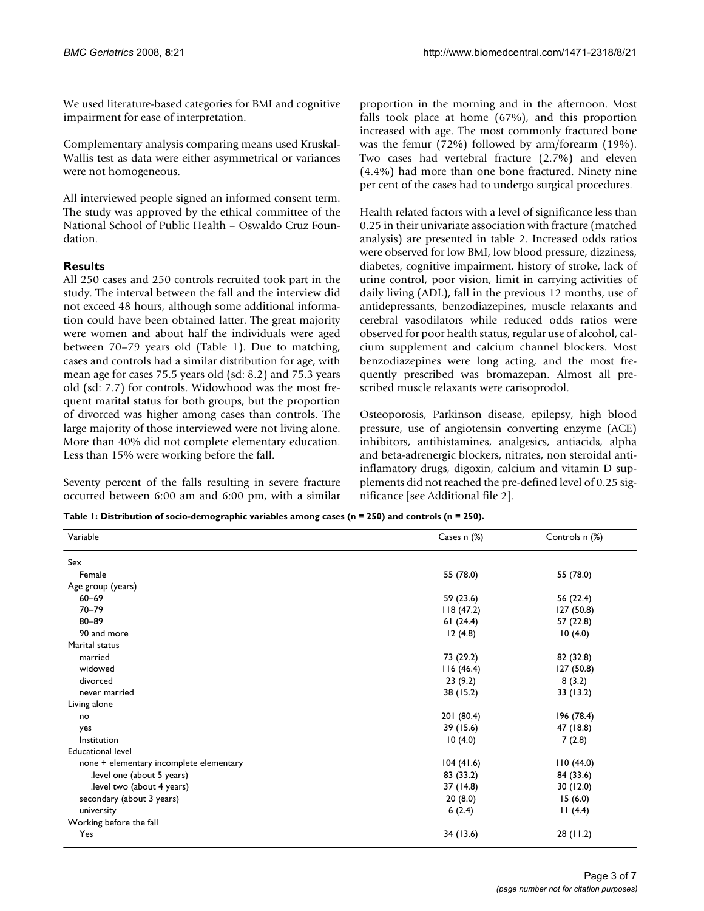We used literature-based categories for BMI and cognitive impairment for ease of interpretation.

Complementary analysis comparing means used Kruskal-Wallis test as data were either asymmetrical or variances were not homogeneous.

All interviewed people signed an informed consent term. The study was approved by the ethical committee of the National School of Public Health – Oswaldo Cruz Foundation.

# **Results**

All 250 cases and 250 controls recruited took part in the study. The interval between the fall and the interview did not exceed 48 hours, although some additional information could have been obtained latter. The great majority were women and about half the individuals were aged between 70–79 years old (Table 1). Due to matching, cases and controls had a similar distribution for age, with mean age for cases 75.5 years old (sd: 8.2) and 75.3 years old (sd: 7.7) for controls. Widowhood was the most frequent marital status for both groups, but the proportion of divorced was higher among cases than controls. The large majority of those interviewed were not living alone. More than 40% did not complete elementary education. Less than 15% were working before the fall.

Seventy percent of the falls resulting in severe fracture occurred between 6:00 am and 6:00 pm, with a similar proportion in the morning and in the afternoon. Most falls took place at home (67%), and this proportion increased with age. The most commonly fractured bone was the femur (72%) followed by arm/forearm (19%). Two cases had vertebral fracture (2.7%) and eleven (4.4%) had more than one bone fractured. Ninety nine per cent of the cases had to undergo surgical procedures.

Health related factors with a level of significance less than 0.25 in their univariate association with fracture (matched analysis) are presented in table 2. Increased odds ratios were observed for low BMI, low blood pressure, dizziness, diabetes, cognitive impairment, history of stroke, lack of urine control, poor vision, limit in carrying activities of daily living (ADL), fall in the previous 12 months, use of antidepressants, benzodiazepines, muscle relaxants and cerebral vasodilators while reduced odds ratios were observed for poor health status, regular use of alcohol, calcium supplement and calcium channel blockers. Most benzodiazepines were long acting, and the most frequently prescribed was bromazepan. Almost all prescribed muscle relaxants were carisoprodol.

Osteoporosis, Parkinson disease, epilepsy, high blood pressure, use of angiotensin converting enzyme (ACE) inhibitors, antihistamines, analgesics, antiacids, alpha and beta-adrenergic blockers, nitrates, non steroidal antiinflamatory drugs, digoxin, calcium and vitamin D supplements did not reached the pre-defined level of 0.25 significance [see Additional file 2].

**Table 1: Distribution of socio-demographic variables among cases (n = 250) and controls (n = 250).**

| Variable                                | Cases $n$ $%$ | Controls n (%) |
|-----------------------------------------|---------------|----------------|
| Sex                                     |               |                |
| Female                                  | 55 (78.0)     | 55 (78.0)      |
| Age group (years)                       |               |                |
| $60 - 69$                               | 59 (23.6)     | 56 (22.4)      |
| $70 - 79$                               | 118(47.2)     | 127(50.8)      |
| $80 - 89$                               | 61(24.4)      | 57 (22.8)      |
| 90 and more                             | 12(4.8)       | 10(4.0)        |
| Marital status                          |               |                |
| married                                 | 73 (29.2)     | 82 (32.8)      |
| widowed                                 | 116(46.4)     | 127(50.8)      |
| divorced                                | 23(9.2)       | 8(3.2)         |
| never married                           | 38 (15.2)     | 33 (13.2)      |
| Living alone                            |               |                |
| no                                      | 201 (80.4)    | 196 (78.4)     |
| yes                                     | 39 (15.6)     | 47 (18.8)      |
| Institution                             | 10(4.0)       | 7(2.8)         |
| <b>Educational level</b>                |               |                |
| none + elementary incomplete elementary | 104(41.6)     | 110(44.0)      |
| level one (about 5 years).              | 83 (33.2)     | 84 (33.6)      |
| level two (about 4 years).              | 37 (14.8)     | 30(12.0)       |
| secondary (about 3 years)               | 20(8.0)       | 15(6.0)        |
| university                              | 6(2.4)        | 11(4.4)        |
| Working before the fall                 |               |                |
| Yes                                     | 34 (13.6)     | 28(11.2)       |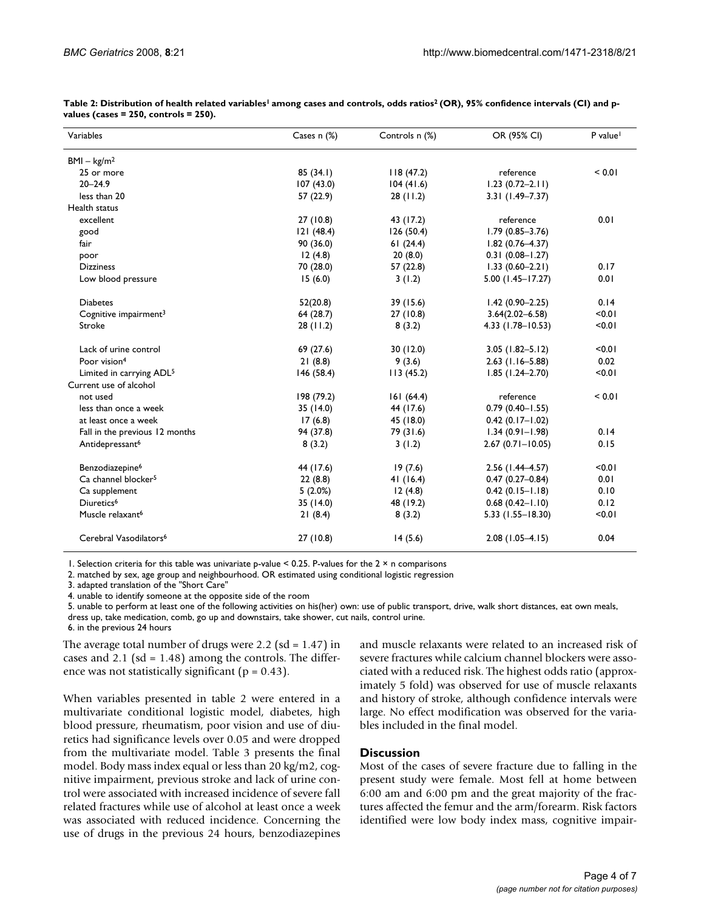| Variables                            | Cases n (%) | Controls n (%) | OR (95% CI)          | P value <sup>1</sup> |
|--------------------------------------|-------------|----------------|----------------------|----------------------|
| $BMI - kg/m2$                        |             |                |                      |                      |
| 25 or more                           | 85(34.1)    | 118(47.2)      | reference            | < 0.01               |
| $20 - 24.9$                          | 107(43.0)   | 104(41.6)      | $1.23(0.72 - 2.11)$  |                      |
| less than 20                         | 57 (22.9)   | 28 (11.2)      | $3.31(1.49 - 7.37)$  |                      |
| Health status                        |             |                |                      |                      |
| excellent                            | 27(10.8)    | 43 (17.2)      | reference            | 0.01                 |
| good                                 | 121(48.4)   | 126(50.4)      | $1.79(0.85 - 3.76)$  |                      |
| fair                                 | 90(36.0)    | 61(24.4)       | $1.82(0.76 - 4.37)$  |                      |
| poor                                 | 12(4.8)     | 20(8.0)        | $0.31(0.08 - 1.27)$  |                      |
| <b>Dizziness</b>                     | 70 (28.0)   | 57 (22.8)      | $1.33(0.60 - 2.21)$  | 0.17                 |
| Low blood pressure                   | 15(6.0)     | 3(1.2)         | $5.00$ (1.45-17.27)  | 0.01                 |
| <b>Diabetes</b>                      | 52(20.8)    | 39 (15.6)      | $1.42(0.90 - 2.25)$  | 0.14                 |
| Cognitive impairment <sup>3</sup>    | 64 (28.7)   | 27 (10.8)      | $3.64(2.02 - 6.58)$  | < 0.01               |
| Stroke                               | 28(11.2)    | 8(3.2)         | $4.33$ (1.78-10.53)  | < 0.01               |
| Lack of urine control                | 69 (27.6)   | 30(12.0)       | $3.05(1.82 - 5.12)$  | < 0.01               |
| Poor vision <sup>4</sup>             | 21(8.8)     | 9(3.6)         | $2.63$ (1.16-5.88)   | 0.02                 |
| Limited in carrying ADL <sup>5</sup> | 146(58.4)   | 113(45.2)      | $1.85$ (1.24-2.70)   | < 0.01               |
| Current use of alcohol               |             |                |                      |                      |
| not used                             | 198 (79.2)  | 161(64.4)      | reference            | < 0.01               |
| less than once a week                | 35 (14.0)   | 44 (17.6)      | $0.79(0.40 - 1.55)$  |                      |
| at least once a week                 | 17(6.8)     | 45 (18.0)      | $0.42$ (0.17-1.02)   |                      |
| Fall in the previous 12 months       | 94 (37.8)   | 79 (31.6)      | $1.34(0.91 - 1.98)$  | 0.14                 |
| Antidepressant <sup>6</sup>          | 8(3.2)      | 3(1.2)         | $2.67(0.71 - 10.05)$ | 0.15                 |
| Benzodiazepine <sup>6</sup>          | 44 (17.6)   | 19(7.6)        | $2.56$ (1.44-4.57)   | < 0.01               |
| Ca channel blocker <sup>5</sup>      | 22(8.8)     | 41(16.4)       | $0.47(0.27 - 0.84)$  | 0.01                 |
| Ca supplement                        | 5(2.0%)     | 12(4.8)        | $0.42(0.15 - 1.18)$  | 0.10                 |
| Diuretics <sup>6</sup>               | 35 (14.0)   | 48 (19.2)      | $0.68(0.42 - 1.10)$  | 0.12                 |
| Muscle relaxant <sup>6</sup>         | 21(8.4)     | 8(3.2)         | 5.33 (1.55-18.30)    | < 0.01               |
| Cerebral Vasodilators <sup>6</sup>   | 27 (10.8)   | 14(5.6)        | $2.08$ (1.05-4.15)   | 0.04                 |

Table 2: Distribution of health related variables<sup>1</sup> among cases and controls, odds ratios<sup>2</sup> (OR), 95% confidence intervals (CI) and p**values (cases = 250, controls = 250).**

1. Selection criteria for this table was univariate p-value < 0.25. P-values for the 2 × n comparisons

2. matched by sex, age group and neighbourhood. OR estimated using conditional logistic regression

3. adapted translation of the "Short Care"

4. unable to identify someone at the opposite side of the room

5. unable to perform at least one of the following activities on his(her) own: use of public transport, drive, walk short distances, eat own meals,

dress up, take medication, comb, go up and downstairs, take shower, cut nails, control urine.

6. in the previous 24 hours

The average total number of drugs were  $2.2$  (sd = 1.47) in cases and 2.1 (sd =  $1.48$ ) among the controls. The difference was not statistically significant ( $p = 0.43$ ).

When variables presented in table 2 were entered in a multivariate conditional logistic model, diabetes, high blood pressure, rheumatism, poor vision and use of diuretics had significance levels over 0.05 and were dropped from the multivariate model. Table 3 presents the final model. Body mass index equal or less than 20 kg/m2, cognitive impairment, previous stroke and lack of urine control were associated with increased incidence of severe fall related fractures while use of alcohol at least once a week was associated with reduced incidence. Concerning the use of drugs in the previous 24 hours, benzodiazepines

and muscle relaxants were related to an increased risk of severe fractures while calcium channel blockers were associated with a reduced risk. The highest odds ratio (approximately 5 fold) was observed for use of muscle relaxants and history of stroke, although confidence intervals were large. No effect modification was observed for the variables included in the final model.

#### **Discussion**

Most of the cases of severe fracture due to falling in the present study were female. Most fell at home between 6:00 am and 6:00 pm and the great majority of the fractures affected the femur and the arm/forearm. Risk factors identified were low body index mass, cognitive impair-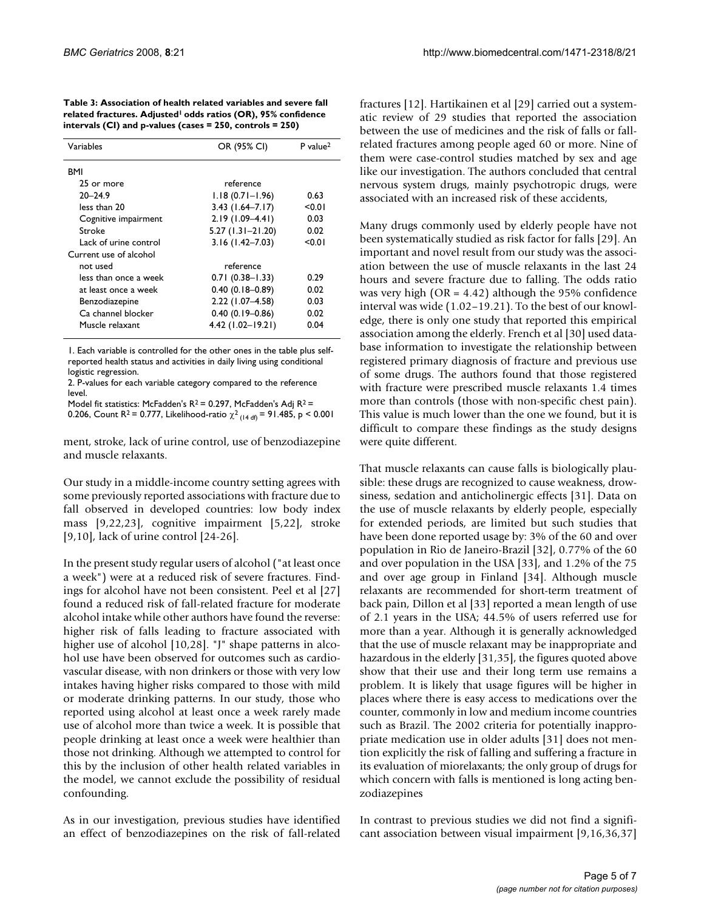**Table 3: Association of health related variables and severe fall**  related fractures. Adjusted<sup>1</sup> odds ratios (OR), 95% confidence **intervals (CI) and p-values (cases = 250, controls = 250)**

| Variables              | OR (95% CI)          | P value <sup>2</sup> |
|------------------------|----------------------|----------------------|
| <b>BMI</b>             |                      |                      |
| 25 or more             | reference            |                      |
| $20 - 24.9$            | $1.18(0.71 - 1.96)$  | 0.63                 |
| less than 20           | $3.43$ (1.64–7.17)   | < 0.01               |
| Cognitive impairment   | $2.19(1.09 - 4.41)$  | 0.03                 |
| Stroke                 | $5.27(1.31 - 21.20)$ | 0.02                 |
| Lack of urine control  | $3.16(1.42 - 7.03)$  | 0.01                 |
| Current use of alcohol |                      |                      |
| not used               | reference            |                      |
| less than once a week  | $0.71(0.38 - 1.33)$  | 0.29                 |
| at least once a week   | $0.40(0.18-0.89)$    | 0.02                 |
| Benzodiazepine         | 2.22 (1.07-4.58)     | 0.03                 |
| Ca channel blocker     | $0.40(0.19 - 0.86)$  | 0.02                 |
| Muscle relaxant        | $4.42$ (1.02-19.21)  | 0.04                 |
|                        |                      |                      |

1. Each variable is controlled for the other ones in the table plus selfreported health status and activities in daily living using conditional logistic regression.

2. P-values for each variable category compared to the reference level.

Model fit statistics: McFadden's  $R^2$  = 0.297, McFadden's Adj  $R^2$  = 0.206, Count R<sup>2</sup> = 0.777, Likelihood-ratio  $\chi^2_{(14 \text{ df})}$  = 91.485, p < 0.001

ment, stroke, lack of urine control, use of benzodiazepine and muscle relaxants.

Our study in a middle-income country setting agrees with some previously reported associations with fracture due to fall observed in developed countries: low body index mass [9,22,23], cognitive impairment [5,22], stroke [9,10], lack of urine control [24-26].

In the present study regular users of alcohol ("at least once a week") were at a reduced risk of severe fractures. Findings for alcohol have not been consistent. Peel et al [27] found a reduced risk of fall-related fracture for moderate alcohol intake while other authors have found the reverse: higher risk of falls leading to fracture associated with higher use of alcohol [10,28]. "J" shape patterns in alcohol use have been observed for outcomes such as cardiovascular disease, with non drinkers or those with very low intakes having higher risks compared to those with mild or moderate drinking patterns. In our study, those who reported using alcohol at least once a week rarely made use of alcohol more than twice a week. It is possible that people drinking at least once a week were healthier than those not drinking. Although we attempted to control for this by the inclusion of other health related variables in the model, we cannot exclude the possibility of residual confounding.

As in our investigation, previous studies have identified an effect of benzodiazepines on the risk of fall-related

fractures [12]. Hartikainen et al [29] carried out a systematic review of 29 studies that reported the association between the use of medicines and the risk of falls or fallrelated fractures among people aged 60 or more. Nine of them were case-control studies matched by sex and age like our investigation. The authors concluded that central nervous system drugs, mainly psychotropic drugs, were associated with an increased risk of these accidents,

Many drugs commonly used by elderly people have not been systematically studied as risk factor for falls [29]. An important and novel result from our study was the association between the use of muscle relaxants in the last 24 hours and severe fracture due to falling. The odds ratio was very high  $(OR = 4.42)$  although the 95% confidence interval was wide (1.02–19.21). To the best of our knowledge, there is only one study that reported this empirical association among the elderly. French et al [30] used database information to investigate the relationship between registered primary diagnosis of fracture and previous use of some drugs. The authors found that those registered with fracture were prescribed muscle relaxants 1.4 times more than controls (those with non-specific chest pain). This value is much lower than the one we found, but it is difficult to compare these findings as the study designs were quite different.

That muscle relaxants can cause falls is biologically plausible: these drugs are recognized to cause weakness, drowsiness, sedation and anticholinergic effects [31]. Data on the use of muscle relaxants by elderly people, especially for extended periods, are limited but such studies that have been done reported usage by: 3% of the 60 and over population in Rio de Janeiro-Brazil [32], 0.77% of the 60 and over population in the USA [33], and 1.2% of the 75 and over age group in Finland [34]. Although muscle relaxants are recommended for short-term treatment of back pain, Dillon et al [33] reported a mean length of use of 2.1 years in the USA; 44.5% of users referred use for more than a year. Although it is generally acknowledged that the use of muscle relaxant may be inappropriate and hazardous in the elderly [31,35], the figures quoted above show that their use and their long term use remains a problem. It is likely that usage figures will be higher in places where there is easy access to medications over the counter, commonly in low and medium income countries such as Brazil. The 2002 criteria for potentially inappropriate medication use in older adults [31] does not mention explicitly the risk of falling and suffering a fracture in its evaluation of miorelaxants; the only group of drugs for which concern with falls is mentioned is long acting benzodiazepines

In contrast to previous studies we did not find a significant association between visual impairment [9,16,36,37]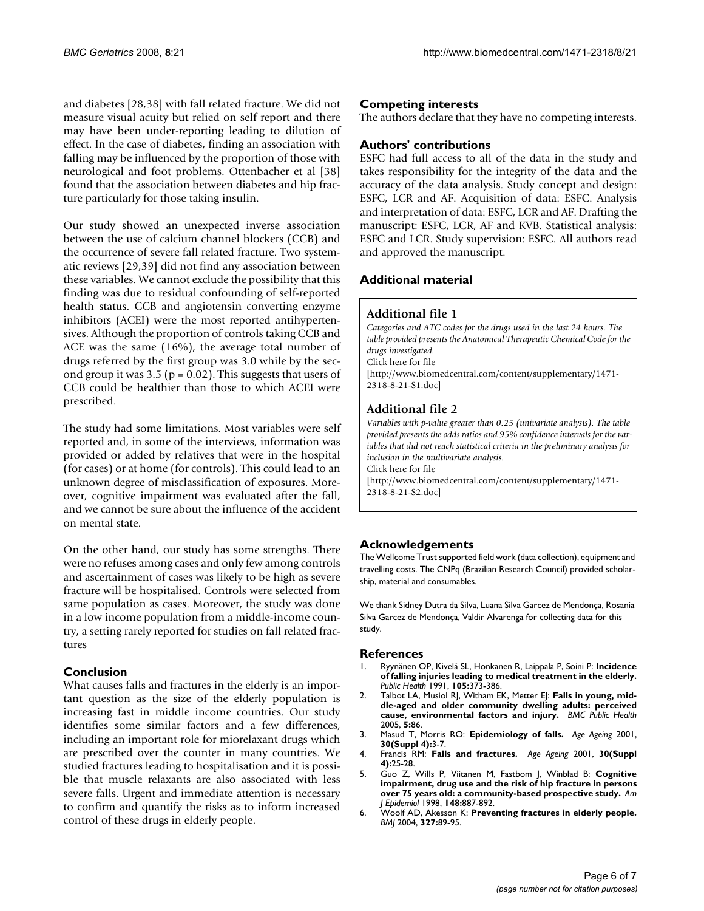and diabetes [28,38] with fall related fracture. We did not measure visual acuity but relied on self report and there may have been under-reporting leading to dilution of effect. In the case of diabetes, finding an association with falling may be influenced by the proportion of those with neurological and foot problems. Ottenbacher et al [38] found that the association between diabetes and hip fracture particularly for those taking insulin.

Our study showed an unexpected inverse association between the use of calcium channel blockers (CCB) and the occurrence of severe fall related fracture. Two systematic reviews [29,39] did not find any association between these variables. We cannot exclude the possibility that this finding was due to residual confounding of self-reported health status. CCB and angiotensin converting enzyme inhibitors (ACEI) were the most reported antihypertensives. Although the proportion of controls taking CCB and ACE was the same (16%), the average total number of drugs referred by the first group was 3.0 while by the second group it was 3.5 ( $p = 0.02$ ). This suggests that users of CCB could be healthier than those to which ACEI were prescribed.

The study had some limitations. Most variables were self reported and, in some of the interviews, information was provided or added by relatives that were in the hospital (for cases) or at home (for controls). This could lead to an unknown degree of misclassification of exposures. Moreover, cognitive impairment was evaluated after the fall, and we cannot be sure about the influence of the accident on mental state.

On the other hand, our study has some strengths. There were no refuses among cases and only few among controls and ascertainment of cases was likely to be high as severe fracture will be hospitalised. Controls were selected from same population as cases. Moreover, the study was done in a low income population from a middle-income country, a setting rarely reported for studies on fall related fractures

# **Conclusion**

What causes falls and fractures in the elderly is an important question as the size of the elderly population is increasing fast in middle income countries. Our study identifies some similar factors and a few differences, including an important role for miorelaxant drugs which are prescribed over the counter in many countries. We studied fractures leading to hospitalisation and it is possible that muscle relaxants are also associated with less severe falls. Urgent and immediate attention is necessary to confirm and quantify the risks as to inform increased control of these drugs in elderly people.

# **Competing interests**

The authors declare that they have no competing interests.

### **Authors' contributions**

ESFC had full access to all of the data in the study and takes responsibility for the integrity of the data and the accuracy of the data analysis. Study concept and design: ESFC, LCR and AF. Acquisition of data: ESFC. Analysis and interpretation of data: ESFC, LCR and AF. Drafting the manuscript: ESFC, LCR, AF and KVB. Statistical analysis: ESFC and LCR. Study supervision: ESFC. All authors read and approved the manuscript.

# **Additional material**

#### **Additional file 1**

*Categories and ATC codes for the drugs used in the last 24 hours. The table provided presents the Anatomical Therapeutic Chemical Code for the drugs investigated.* Click here for file [\[http://www.biomedcentral.com/content/supplementary/1471-](http://www.biomedcentral.com/content/supplementary/1471-2318-8-21-S1.doc) 2318-8-21-S1.doc]

# **Additional file 2**

*Variables with p-value greater than 0.25 (univariate analysis). The table provided presents the odds ratios and 95% confidence intervals for the variables that did not reach statistical criteria in the preliminary analysis for inclusion in the multivariate analysis.* Click here for file

[\[http://www.biomedcentral.com/content/supplementary/1471-](http://www.biomedcentral.com/content/supplementary/1471-2318-8-21-S2.doc) 2318-8-21-S2.doc]

#### **Acknowledgements**

The Wellcome Trust supported field work (data collection), equipment and travelling costs. The CNPq (Brazilian Research Council) provided scholarship, material and consumables.

We thank Sidney Dutra da Silva, Luana Silva Garcez de Mendonça, Rosania Silva Garcez de Mendonça, Valdir Alvarenga for collecting data for this study.

#### **References**

- 1. Ryynänen OP, Kivelä SL, Honkanen R, Laippala P, Soini P: **[Incidence](http://www.ncbi.nlm.nih.gov/entrez/query.fcgi?cmd=Retrieve&db=PubMed&dopt=Abstract&list_uids=1754661) [of falling injuries leading to medical treatment in the elderly.](http://www.ncbi.nlm.nih.gov/entrez/query.fcgi?cmd=Retrieve&db=PubMed&dopt=Abstract&list_uids=1754661)** *Public Health* 1991, **105:**373-386.
- 2. Talbot LA, Musiol RJ, Witham EK, Metter EJ: [Falls in young, mid](http://www.ncbi.nlm.nih.gov/entrez/query.fcgi?cmd=Retrieve&db=PubMed&dopt=Abstract&list_uids=16109159)**[dle-aged and older community dwelling adults: perceived](http://www.ncbi.nlm.nih.gov/entrez/query.fcgi?cmd=Retrieve&db=PubMed&dopt=Abstract&list_uids=16109159) [cause, environmental factors and injury.](http://www.ncbi.nlm.nih.gov/entrez/query.fcgi?cmd=Retrieve&db=PubMed&dopt=Abstract&list_uids=16109159)** *BMC Public Health* 2005, **5:**86.
- 3. Masud T, Morris RO: **[Epidemiology of falls.](http://www.ncbi.nlm.nih.gov/entrez/query.fcgi?cmd=Retrieve&db=PubMed&dopt=Abstract&list_uids=11769786)** *Age Ageing* 2001, **30(Suppl 4):**3-7.
- 4. Francis RM: **[Falls and fractures.](http://www.ncbi.nlm.nih.gov/entrez/query.fcgi?cmd=Retrieve&db=PubMed&dopt=Abstract&list_uids=11769784)** *Age Ageing* 2001, **30(Suppl 4):**25-28.
- 5. Guo Z, Wills P, Viitanen M, Fastbom J, Winblad B: **[Cognitive](http://www.ncbi.nlm.nih.gov/entrez/query.fcgi?cmd=Retrieve&db=PubMed&dopt=Abstract&list_uids=9801019) [impairment, drug use and the risk of hip fracture in persons](http://www.ncbi.nlm.nih.gov/entrez/query.fcgi?cmd=Retrieve&db=PubMed&dopt=Abstract&list_uids=9801019) [over 75 years old: a community-based prospective study.](http://www.ncbi.nlm.nih.gov/entrez/query.fcgi?cmd=Retrieve&db=PubMed&dopt=Abstract&list_uids=9801019)** *Am J Epidemiol* 1998, **148:**887-892.
- 6. Woolf AD, Akesson K: **Preventing fractures in elderly people.** *BMJ* 2004, **327:**89-95.